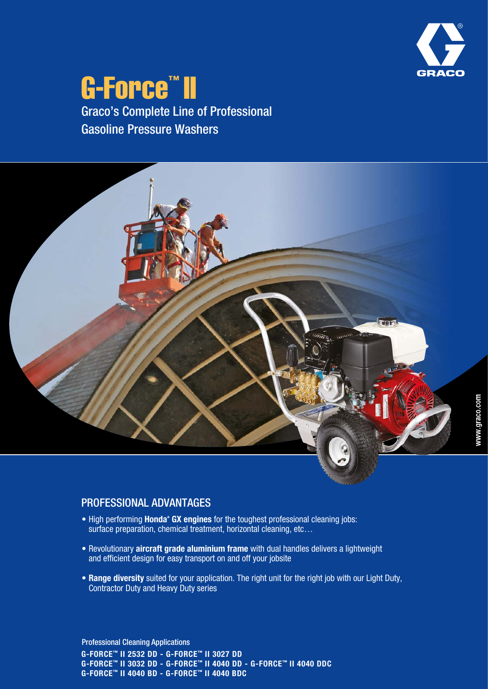

## G-Force™ II Graco's Complete Line of Professional Gasoline Pressure Washers

www.graco.com

## PROFESSIONAL ADVANTAGES

- High performing **Honda® GX engines** for the toughest professional cleaning jobs: surface preparation, chemical treatment, horizontal cleaning, etc...
- Revolutionary **aircraft grade aluminium frame** with dual handles delivers a lightweight and efficient design for easy transport on and off your jobsite
- **Range diversity** suited for your application. The right unit for the right job with our Light Duty, Contractor Duty and Heavy Duty series

**G-FORCE™ II 2532 DD - G-FORCE™ II 3027 DD G-FORCE™ II 3032 DD - G-FORCE™ II 4040 DD - G-FORCE™ II 4040 DDC G-FORCE™ II 4040 BD - G-FORCE™ II 4040 BDC** Professional Cleaning Applications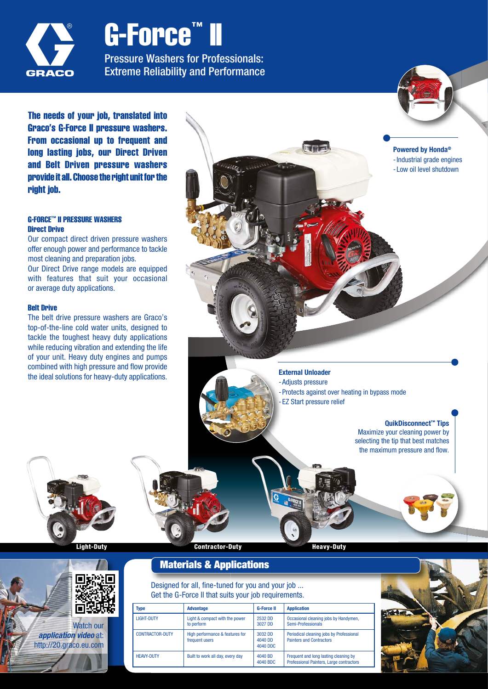

# G-Force™ II

Pressure Washers for Professionals: Extreme Reliability and Performance

The needs of your job, translated into Graco's G-Force II pressure washers. From occasional up to frequent and long lasting jobs, our Direct Driven and Belt Driven pressure washers provide it all. Choose the right unit for the right job.

#### G-FORCE™ II PRESSURE WASHERS Direct Drive

Our compact direct driven pressure washers offer enough power and performance to tackle most cleaning and preparation jobs.

Our Direct Drive range models are equipped with features that suit your occasional or average duty applications.

#### Belt Drive

The belt drive pressure washers are Graco's top-of-the-line cold water units, designed to tackle the toughest heavy duty applications while reducing vibration and extending the life of your unit. Heavy duty engines and pumps combined with high pressure and flow provide the ideal solutions for heavy-duty applications.



#### **External Unloader**

- - EZ Start pressure relief

**QuikDisconnect™ Tips** Maximize your cleaning power by selecting the tip that best matches the maximum pressure and flow.

**Light-Duty Contractor-Duty Heavy-Duty** 



Watch our *application video* at: http://20.graco.eu.com

**Materials & Applications**

Designed for all, fine-tuned for you and your job ... Get the G-Force II that suits your job requirements.

| <b>Type</b>       | <b>Advantage</b>                                  | <b>G-Force II</b>              | <b>Application</b>                                                                |
|-------------------|---------------------------------------------------|--------------------------------|-----------------------------------------------------------------------------------|
| <b>LIGHT-DUTY</b> | Light & compact with the power<br>to perform      | 2532 DD<br>3027 DD             | Occasional cleaning jobs by Handymen,<br>Semi-Professionals                       |
| CONTRACTOR-DUTY   | High performance & features for<br>frequent users | 3032 DD<br>4040 DD<br>4040 DDC | Periodical cleaning jobs by Professional<br><b>Painters and Contractors</b>       |
| <b>HEAVY-DUTY</b> | Built to work all day, every day                  | 4040 BD<br>4040 BDC            | Frequent and long lasting cleaning by<br>Professional Painters, Large contractors |

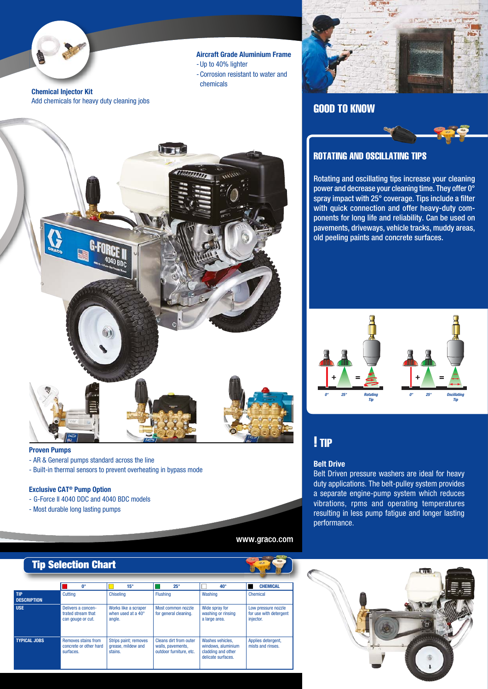

**Aircraft Grade Aluminium Frame** - Up to 40% lighter - Corrosion resistant to water and chemicals

**Chemical Injector Kit** Add chemicals for heavy duty cleaning jobs



#### **Proven Pumps**

- AR & General pumps standard across the line
- Built-in thermal sensors to prevent overheating in bypass mode

#### **Exclusive CAT® Pump Option**

- G-Force II 4040 DDC and 4040 BDC models
- Most durable long lasting pumps



### GOOD TO KNOW



#### ROTATING AND OSCILLATING TIPS

Rotating and oscillating tips increase your cleaning power and decrease your cleaning time. They offer 0° spray impact with 25° coverage. Tips include a filter with quick connection and offer heavy-duty components for long life and reliability. Can be used on pavements, driveways, vehicle tracks, muddy areas, old peeling paints and concrete surfaces.



### ! TIP

#### **Belt Drive**

Belt Driven pressure washers are ideal for heavy duty applications. The belt-pulley system provides a separate engine-pump system which reduces vibrations, rpms and operating temperatures resulting in less pump fatigue and longer lasting performance.



www.graco.com

|                                        | <b>Tip Selection Chart</b>                                    |                                                               |                                                                               |                                                                                    |                                                            |  |
|----------------------------------------|---------------------------------------------------------------|---------------------------------------------------------------|-------------------------------------------------------------------------------|------------------------------------------------------------------------------------|------------------------------------------------------------|--|
|                                        | <b>n</b> °                                                    | $15^\circ$                                                    | $25^\circ$                                                                    | $40^{\circ}$                                                                       | <b>CHEMICAL</b>                                            |  |
| TIP <sup>7</sup><br><b>DESCRIPTION</b> | Cuttina                                                       | <b>Chiseling</b>                                              | <b>Flushing</b>                                                               | Washing                                                                            | Chemical                                                   |  |
| <b>USE</b>                             | Delivers a concen-<br>trated stream that<br>can gouge or cut. | Works like a scraper<br>when used at a $40^{\circ}$<br>angle. | Most common nozzle<br>for general cleaning.                                   | Wide spray for<br>washing or rinsing<br>a large area.                              | Low pressure nozzle<br>for use with detergent<br>injector. |  |
| <b>TYPICAL JOBS</b>                    | Removes stains from<br>concrete or other hard<br>surfaces.    | Strips paint; removes<br>grease, mildew and<br>stains.        | <b>Cleans dirt from outer</b><br>walls, pavements,<br>outdoor furniture, etc. | Washes vehicles.<br>windows, aluminium<br>cladding and other<br>delicate surfaces. | Applies detergent,<br>mists and rinses.                    |  |